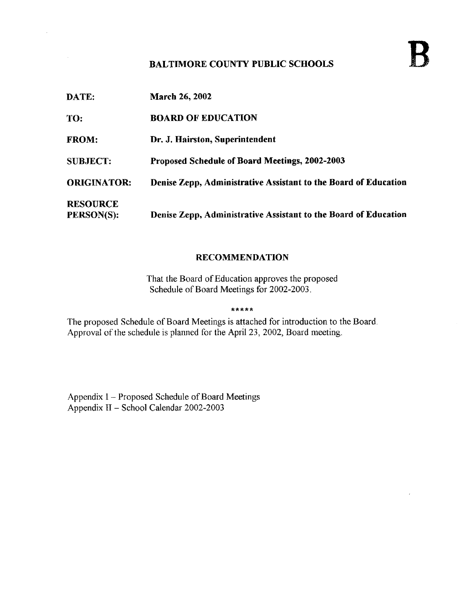### BALTIMORE COUNTY PUBLIC SCHOOLS

DATE: March 26, <sup>2002</sup> TO: BOARD OF EDUCATION FROM: Dr. J. Hairston, Superintendent SUBJECT: Proposed Schedule of Board Meetings, 2002-2003 ORIGINATOR: Denise Zepp, Administrative Assistant to the Board of Education **RESOURCE**<br>PERSON(S): Denise Zepp, Administrative Assistant to the Board of Education

### RECOMMENDATION

That the Board of Education approves the proposed Schedule of Board Meetings for 2002-2003 .

\*\*\*\*\*

The proposed Schedule of Board Meetings is attached for introduction to the Board. Approval of the schedule is planned for the April 23, 2002, Board meeting.

Appendix 1 – Proposed Schedule of Board Meetings Appendix 11- School Calendar 2002-2003

 $\mathcal{L}$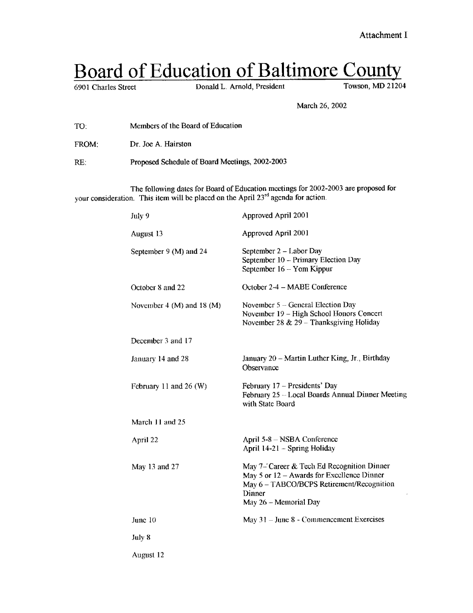# Board of Education of Baltimore County

Donald L. Arnold, President

March 26, 2002

- TO: Members of the Board of Education
- FROM: Dr. Joe A. Hairston

Proposed Schedule of Board Meetings, 2002-2003 RE:

The following dates for Board of Education meetings for 2002-2003 are proposed for your consideration. This item will be placed on the April 23<sup>rd</sup> agenda for action.

| July 9                    | Approved April 2001                                                                                                                                                      |
|---------------------------|--------------------------------------------------------------------------------------------------------------------------------------------------------------------------|
| August 13                 | Approved April 2001                                                                                                                                                      |
| September 9 (M) and 24    | September 2 - Labor Day<br>September 10 - Primary Election Day<br>September 16 - Yom Kippur                                                                              |
| October 8 and 22          | October 2-4 - MABE Conference                                                                                                                                            |
| November 4 (M) and 18 (M) | November $5 -$ General Election Day<br>November 19 - High School Honors Concert<br>November 28 & 29 - Thanksgiving Holiday                                               |
| December 3 and 17         |                                                                                                                                                                          |
| January 14 and 28         | January 20 – Martin Luther King, Jr., Birthday<br>Observance                                                                                                             |
| February 11 and 26 (W)    | February 17 - Presidents' Day<br>February 25 - Local Boards Annual Dinner Meeting<br>with State Board                                                                    |
| March 11 and 25           |                                                                                                                                                                          |
| April 22                  | April 5-8 – NSBA Conference<br>April 14-21 - Spring Holiday                                                                                                              |
| May 13 and 27             | May 7- Career & Tech Ed Recognition Dinner<br>May 5 or 12 - Awards for Excellence Dinner<br>May 6 - TABCO/BCPS Retirement/Recognition<br>Dinner<br>May 26 - Memorial Day |
| June 10                   | May $31 -$ June 8 - Commencement Exercises                                                                                                                               |
| July 8                    |                                                                                                                                                                          |
| August 12                 |                                                                                                                                                                          |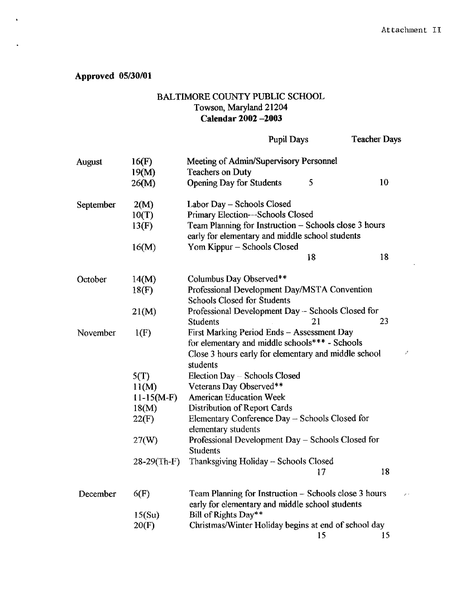## Approved 05/30/01

## BALTIMORE COUNTY PUBLIC SCHOOL Towson, Maryland 21204 Calendar 2002 -2003

|           |                | <b>Pupil Days</b>                                                                                                                                    |    | <b>Teacher Days</b> |
|-----------|----------------|------------------------------------------------------------------------------------------------------------------------------------------------------|----|---------------------|
| August    | 16(F)<br>19(M) | Meeting of Admin/Supervisory Personnel<br><b>Teachers on Duty</b>                                                                                    |    |                     |
|           | 26(M)          | <b>Opening Day for Students</b>                                                                                                                      | 5  | 10                  |
| September | 2(M)           | Labor Day - Schools Closed                                                                                                                           |    |                     |
|           | 10(T)          | Primary Election-Schools Closed                                                                                                                      |    |                     |
|           | 13(F)          | Team Planning for Instruction - Schools close 3 hours<br>early for elementary and middle school students                                             |    |                     |
|           | 16(M)          | Yom Kippur - Schools Closed                                                                                                                          |    |                     |
|           |                |                                                                                                                                                      | 18 | 18                  |
| October   | 14(M)          | Columbus Day Observed**                                                                                                                              |    |                     |
|           | 18(F)          | Professional Development Day/MSTA Convention<br><b>Schools Closed for Students</b>                                                                   |    |                     |
|           | 21(M)          | Professional Development Day – Schools Closed for<br><b>Students</b>                                                                                 | 21 | 23                  |
| November  | 1(F)           | First Marking Period Ends - Assessment Day<br>for elementary and middle schools*** - Schools<br>Close 3 hours early for elementary and middle school |    |                     |
|           |                | students                                                                                                                                             |    |                     |
|           | 5(T)           | Election Day – Schools Closed                                                                                                                        |    |                     |
|           | 11(M)          | Veterans Day Observed**                                                                                                                              |    |                     |
|           | $11-15(M-F)$   | <b>American Education Week</b>                                                                                                                       |    |                     |
|           | 18(M)          | Distribution of Report Cards                                                                                                                         |    |                     |
|           | 22(F)          | Elementary Conference Day - Schools Closed for<br>elementary students                                                                                |    |                     |
|           | 27(W)          | Professional Development Day - Schools Closed for<br><b>Students</b>                                                                                 |    |                     |
|           | $28-29$ (Th-F) | Thanksgiving Holiday - Schools Closed                                                                                                                |    |                     |
|           |                |                                                                                                                                                      | 17 | 18                  |
| December  | 6(F)           | Team Planning for Instruction – Schools close 3 hours<br>early for elementary and middle school students                                             |    |                     |
|           | 15(Su)         | Bill of Rights Day**                                                                                                                                 |    |                     |
|           | 20(F)          | Christmas/Winter Holiday begins at end of school day                                                                                                 | 15 | 15                  |
|           |                |                                                                                                                                                      |    |                     |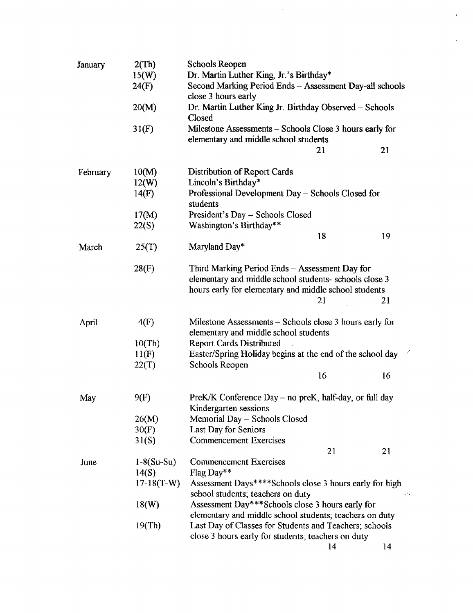| January  | 2(Th)        | Schools Reopen                                                   |      |  |
|----------|--------------|------------------------------------------------------------------|------|--|
|          | 15(W)        | Dr. Martin Luther King, Jr.'s Birthday*                          |      |  |
|          | 24(F)        | Second Marking Period Ends - Assessment Day-all schools          |      |  |
|          |              | close 3 hours early                                              |      |  |
|          | 20(M)        | Dr. Martin Luther King Jr. Birthday Observed - Schools<br>Closed |      |  |
|          | 31(F)        | Milestone Assessments – Schools Close 3 hours early for          |      |  |
|          |              | elementary and middle school students<br>21                      | 21   |  |
| February | 10(M)        | Distribution of Report Cards                                     |      |  |
|          | 12(W)        | Lincoln's Birthday*                                              |      |  |
|          | 14(F)        | Professional Development Day – Schools Closed for                |      |  |
|          |              | students                                                         |      |  |
|          | 17(M)        | President's Day - Schools Closed                                 |      |  |
|          | 22(S)        | Washington's Birthday**                                          |      |  |
|          |              | 18                                                               | 19   |  |
| March    | 25(T)        | Maryland Day*                                                    |      |  |
|          | 28(F)        | Third Marking Period Ends - Assessment Day for                   |      |  |
|          |              | elementary and middle school students- schools close 3           |      |  |
|          |              | hours early for elementary and middle school students            |      |  |
|          |              | 21                                                               | 21   |  |
| April    | 4(F)         | Milestone Assessments – Schools close 3 hours early for          |      |  |
|          |              | elementary and middle school students                            |      |  |
|          | 10(Th)       | <b>Report Cards Distributed</b>                                  |      |  |
|          | 11(F)        | Easter/Spring Holiday begins at the end of the school day        |      |  |
|          | 22(T)        | Schools Reopen<br>16                                             | 16   |  |
|          |              |                                                                  |      |  |
| May      | 9(F)         | PreK/K Conference Day – no preK, half-day, or full day           |      |  |
|          |              | Kindergarten sessions                                            |      |  |
|          | 26(M)        | Memorial Day - Schools Closed                                    |      |  |
|          | 30(F)        | Last Day for Seniors                                             |      |  |
|          | 31(S)        | <b>Commencement Exercises</b>                                    |      |  |
|          |              | 21                                                               | 21   |  |
| June     | $1-8(Su-Su)$ | <b>Commencement Exercises</b>                                    |      |  |
|          | 14(S)        | Flag Day**                                                       |      |  |
|          | $17-18(T-W)$ | Assessment Days****Schools close 3 hours early for high          |      |  |
|          |              | school students; teachers on duty                                | ء' ء |  |
|          | 18(W)        | Assessment Day***Schools close 3 hours early for                 |      |  |
|          |              | elementary and middle school students; teachers on duty          |      |  |
|          | 19(Th)       | Last Day of Classes for Students and Teachers; schools           |      |  |
|          |              | close 3 hours early for students; teachers on duty               |      |  |
|          |              | 14                                                               | 14   |  |

 $\frac{1}{2} \frac{1}{2} \frac{1}{2} \frac{1}{2} \frac{1}{2}$